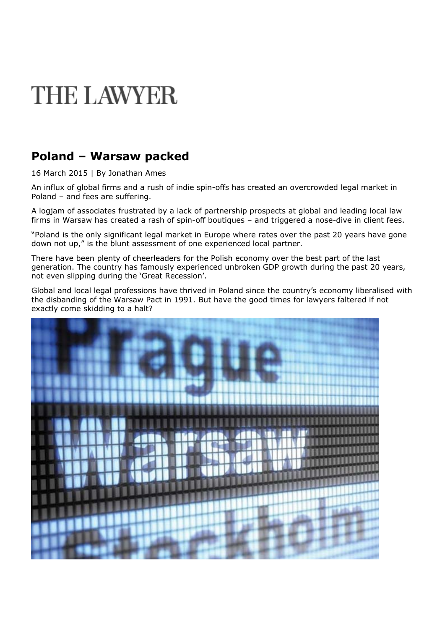# **THE LAWYER**

## **Poland – Warsaw packed**

16 March 2015 | By Jonathan Ames

An influx of global firms and a rush of indie spin-offs has created an overcrowded legal market in Poland – and fees are suffering.

A logjam of associates frustrated by a lack of partnership prospects at global and leading local law firms in Warsaw has created a rash of spin-off boutiques – and triggered a nose-dive in client fees.

"Poland is the only significant legal market in Europe where rates over the past 20 years have gone down not up," is the blunt assessment of one experienced local partner.

There have been plenty of cheerleaders for the Polish economy over the best part of the last generation. The country has famously experienced unbroken GDP growth during the past 20 years, not even slipping during the 'Great Recession'.

Global and local legal professions have thrived in Poland since the country's economy liberalised with the disbanding of the Warsaw Pact in 1991. But have the good times for lawyers faltered if not exactly come skidding to a halt?

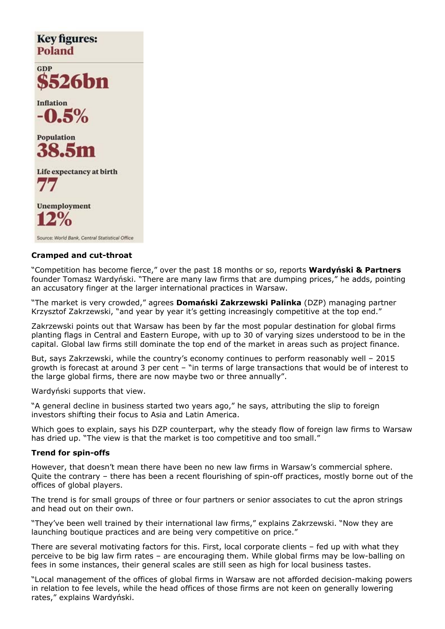### **Key figures:** Poland



Source: World Bank, Central Statistical Office

#### **Cramped and cut-throat**

"Competition has become fierce," over the past 18 months or so, reports **Wardyński & Partners** founder Tomasz Wardyński. "There are many law firms that are dumping prices," he adds, pointing an accusatory finger at the larger international practices in Warsaw.

"The market is very crowded," agrees **Domański Zakrzewski Palinka** (DZP) managing partner Krzysztof Zakrzewski, "and year by year it's getting increasingly competitive at the top end."

Zakrzewski points out that Warsaw has been by far the most popular destination for global firms planting flags in Central and Eastern Europe, with up to 30 of varying sizes understood to be in the capital. Global law firms still dominate the top end of the market in areas such as project finance.

But, says Zakrzewski, while the country's economy continues to perform reasonably well – 2015 growth is forecast at around 3 per cent – "in terms of large transactions that would be of interest to the large global firms, there are now maybe two or three annually".

Wardyński supports that view.

"A general decline in business started two years ago," he says, attributing the slip to foreign investors shifting their focus to Asia and Latin America.

Which goes to explain, says his DZP counterpart, why the steady flow of foreign law firms to Warsaw has dried up. "The view is that the market is too competitive and too small."

#### **Trend for spin-offs**

However, that doesn't mean there have been no new law firms in Warsaw's commercial sphere. Quite the contrary – there has been a recent flourishing of spin-off practices, mostly borne out of the offices of global players.

The trend is for small groups of three or four partners or senior associates to cut the apron strings and head out on their own.

"They've been well trained by their international law firms," explains Zakrzewski. "Now they are launching boutique practices and are being very competitive on price."

There are several motivating factors for this. First, local corporate clients – fed up with what they perceive to be big law firm rates – are encouraging them. While global firms may be low-balling on fees in some instances, their general scales are still seen as high for local business tastes.

"Local management of the offices of global firms in Warsaw are not afforded decision-making powers in relation to fee levels, while the head offices of those firms are not keen on generally lowering rates," explains Wardyński.